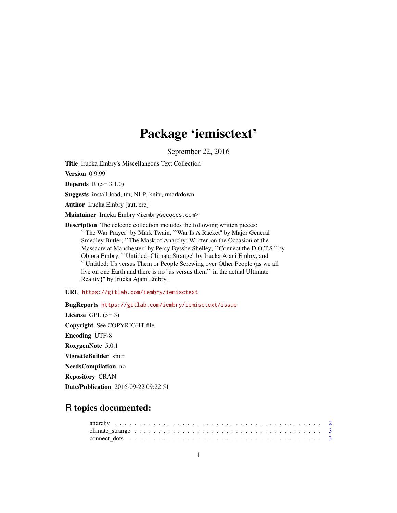# Package 'iemisctext'

September 22, 2016

Title Irucka Embry's Miscellaneous Text Collection

Version 0.9.99

**Depends**  $R (= 3.1.0)$ 

Suggests install.load, tm, NLP, knitr, rmarkdown

Author Irucka Embry [aut, cre]

Maintainer Irucka Embry <iembry@ecoccs.com>

Description The eclectic collection includes the following written pieces: ``The War Prayer'' by Mark Twain, ``War Is A Racket'' by Major General Smedley Butler, ``The Mask of Anarchy: Written on the Occasion of the Massacre at Manchester'' by Percy Bysshe Shelley, ``Connect the D.O.T.S.'' by Obiora Embry, ``Untitled: Climate Strange'' by Irucka Ajani Embry, and ``Untitled: Us versus Them or People Screwing over Other People (as we all live on one Earth and there is no ''us versus them`` in the actual Ultimate Reality}'' by Irucka Ajani Embry.

URL <https://gitlab.com/iembry/iemisctext>

BugReports <https://gitlab.com/iembry/iemisctext/issue>

License GPL  $(>= 3)$ Copyright See COPYRIGHT file Encoding UTF-8 RoxygenNote 5.0.1 VignetteBuilder knitr NeedsCompilation no Repository CRAN Date/Publication 2016-09-22 09:22:51

# R topics documented: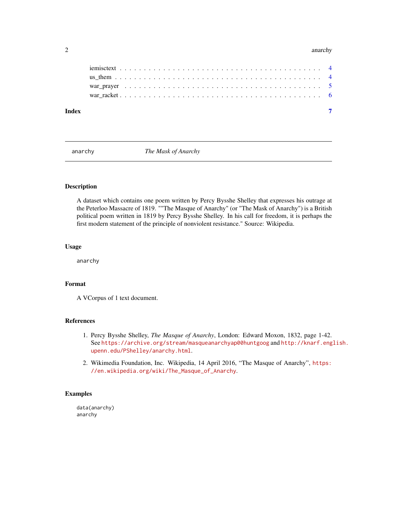#### <span id="page-1-0"></span>2 anarchy and the contract of the contract of the contract of the contract of the contract of the contract of the contract of the contract of the contract of the contract of the contract of the contract of the contract of

| Index |  |  |  |  |  |  |  |  |  |  |  |  |  |  |  |  |  |  |
|-------|--|--|--|--|--|--|--|--|--|--|--|--|--|--|--|--|--|--|

anarchy *The Mask of Anarchy*

# Description

A dataset which contains one poem written by Percy Bysshe Shelley that expresses his outrage at the Peterloo Massacre of 1819. ""The Masque of Anarchy" (or "The Mask of Anarchy") is a British political poem written in 1819 by Percy Bysshe Shelley. In his call for freedom, it is perhaps the first modern statement of the principle of nonviolent resistance." Source: Wikipedia.

# Usage

anarchy

### Format

A VCorpus of 1 text document.

# References

- 1. Percy Bysshe Shelley, *The Masque of Anarchy*, London: Edward Moxon, 1832, page 1-42. See <https://archive.org/stream/masqueanarchyap00huntgoog> and [http://knarf.eng](http://knarf.english.upenn.edu/PShelley/anarchy.html)lish. [upenn.edu/PShelley/anarchy.html](http://knarf.english.upenn.edu/PShelley/anarchy.html).
- 2. Wikimedia Foundation, Inc. Wikipedia, 14 April 2016, "The Masque of Anarchy", [https:](https://en.wikipedia.org/wiki/The_Masque_of_Anarchy) [//en.wikipedia.org/wiki/The\\_Masque\\_of\\_Anarchy](https://en.wikipedia.org/wiki/The_Masque_of_Anarchy).

# Examples

data(anarchy) anarchy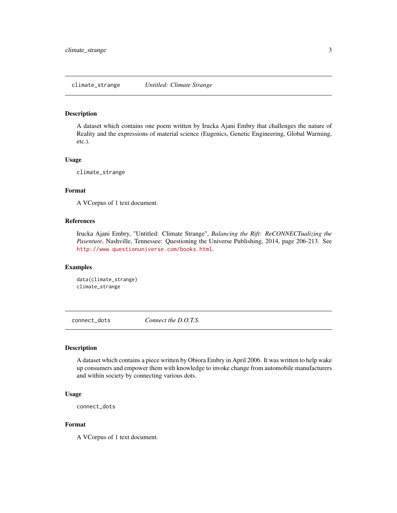<span id="page-2-0"></span>climate\_strange *Untitled: Climate Strange*

# Description

A dataset which contains one poem written by Irucka Ajani Embry that challenges the nature of Reality and the expressions of material science (Eugenics, Genetic Engineering, Global Warming, etc.).

# Usage

climate\_strange

# Format

A VCorpus of 1 text document.

# References

Irucka Ajani Embry, "Untitled: Climate Strange", *Balancing the Rift: ReCONNECTualizing the Pasenture*, Nashville, Tennessee: Questioning the Universe Publishing, 2014, page 206-213. See <http://www.questionuniverse.com/books.html>.

# Examples

```
data(climate_strange)
climate_strange
```
connect\_dots *Connect the D.O.T.S.*

### Description

A dataset which contains a piece written by Obiora Embry in April 2006. It was written to help wake up consumers and empower them with knowledge to invoke change from automobile manufacturers and within society by connecting various dots.

#### Usage

```
connect_dots
```
# Format

A VCorpus of 1 text document.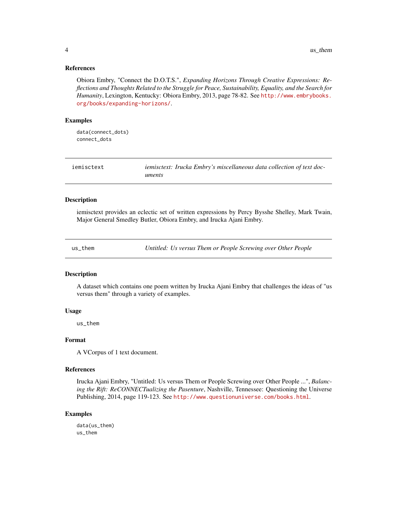# <span id="page-3-0"></span>References

Obiora Embry, "Connect the D.O.T.S.", *Expanding Horizons Through Creative Expressions: Reflections and Thoughts Related to the Struggle for Peace, Sustainability, Equality, and the Search for Humanity*, Lexington, Kentucky: Obiora Embry, 2013, page 78-82. See [http://www.embrybooks.](http://www.embrybooks.org/books/expanding-horizons/) [org/books/expanding-horizons/](http://www.embrybooks.org/books/expanding-horizons/).

## Examples

data(connect\_dots) connect\_dots

| iemisctext | iemisctext: Irucka Embry's miscellaneous data collection of text doc- |
|------------|-----------------------------------------------------------------------|
|            | uments                                                                |

#### Description

iemisctext provides an eclectic set of written expressions by Percy Bysshe Shelley, Mark Twain, Major General Smedley Butler, Obiora Embry, and Irucka Ajani Embry.

us\_them *Untitled: Us versus Them or People Screwing over Other People*

# Description

A dataset which contains one poem written by Irucka Ajani Embry that challenges the ideas of "us versus them" through a variety of examples.

#### Usage

us\_them

## Format

A VCorpus of 1 text document.

#### References

Irucka Ajani Embry, "Untitled: Us versus Them or People Screwing over Other People ...", *Balancing the Rift: ReCONNECTualizing the Pasenture*, Nashville, Tennessee: Questioning the Universe Publishing, 2014, page 119-123. See <http://www.questionuniverse.com/books.html>.

# Examples

data(us\_them) us\_them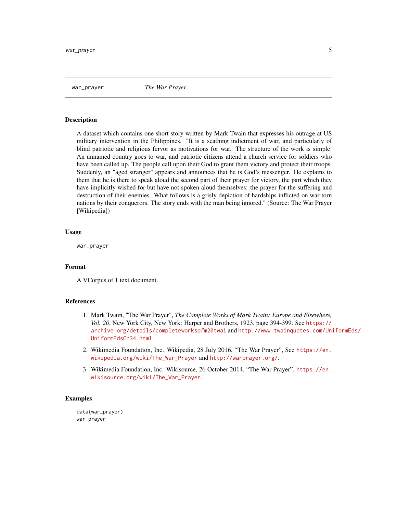<span id="page-4-0"></span>war\_prayer *The War Prayer*

#### Description

A dataset which contains one short story written by Mark Twain that expresses his outrage at US military intervention in the Philippines. "It is a scathing indictment of war, and particularly of blind patriotic and religious fervor as motivations for war. The structure of the work is simple: An unnamed country goes to war, and patriotic citizens attend a church service for soldiers who have been called up. The people call upon their God to grant them victory and protect their troops. Suddenly, an "aged stranger" appears and announces that he is God's messenger. He explains to them that he is there to speak aloud the second part of their prayer for victory, the part which they have implicitly wished for but have not spoken aloud themselves: the prayer for the suffering and destruction of their enemies. What follows is a grisly depiction of hardships inflicted on war-torn nations by their conquerors. The story ends with the man being ignored." (Source: The War Prayer [Wikipedia])

# Usage

war\_prayer

#### Format

A VCorpus of 1 text document.

# References

- 1. Mark Twain, "The War Prayer", *The Complete Works of Mark Twain: Europe and Elsewhere, Vol. 20*, New York City, New York: Harper and Brothers, 1923, page 394-399. See [https://](https://archive.org/details/completeworksofm20twai) [archive.org/details/completeworksofm20twai](https://archive.org/details/completeworksofm20twai) and [http://www.twainquotes.com/Uni](http://www.twainquotes.com/UniformEds/UniformEdsCh34.html)formEds/ [UniformEdsCh34.html](http://www.twainquotes.com/UniformEds/UniformEdsCh34.html).
- 2. Wikimedia Foundation, Inc. Wikipedia, 28 July 2016, "The War Prayer", See [https://en.](https://en.wikipedia.org/wiki/The_War_Prayer) [wikipedia.org/wiki/The\\_War\\_Prayer](https://en.wikipedia.org/wiki/The_War_Prayer) and <http://warprayer.org/>.
- 3. Wikimedia Foundation, Inc. Wikisource, 26 October 2014, "The War Prayer", [https://en.](https://en.wikisource.org/wiki/The_War_Prayer) [wikisource.org/wiki/The\\_War\\_Prayer](https://en.wikisource.org/wiki/The_War_Prayer).

# Examples

data(war\_prayer) war\_prayer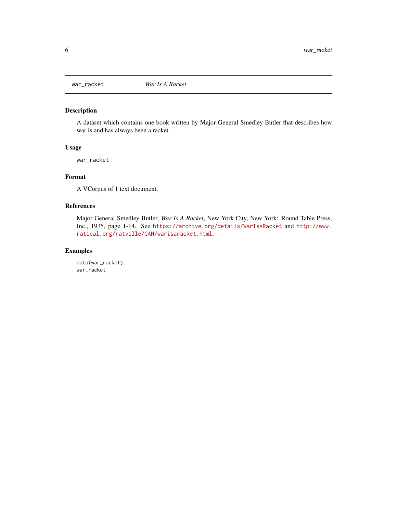<span id="page-5-0"></span>

# Description

A dataset which contains one book written by Major General Smedley Butler that describes how war is and has always been a racket.

# Usage

war\_racket

# Format

A VCorpus of 1 text document.

# References

Major General Smedley Butler, *War Is A Racket*, New York City, New York: Round Table Press, Inc., 1935, page 1-14. See <https://archive.org/details/WarIsARacket> and [http://www.](http://www.ratical.org/ratville/CAH/warisaracket.html) [ratical.org/ratville/CAH/warisaracket.html](http://www.ratical.org/ratville/CAH/warisaracket.html).

# Examples

data(war\_racket) war\_racket